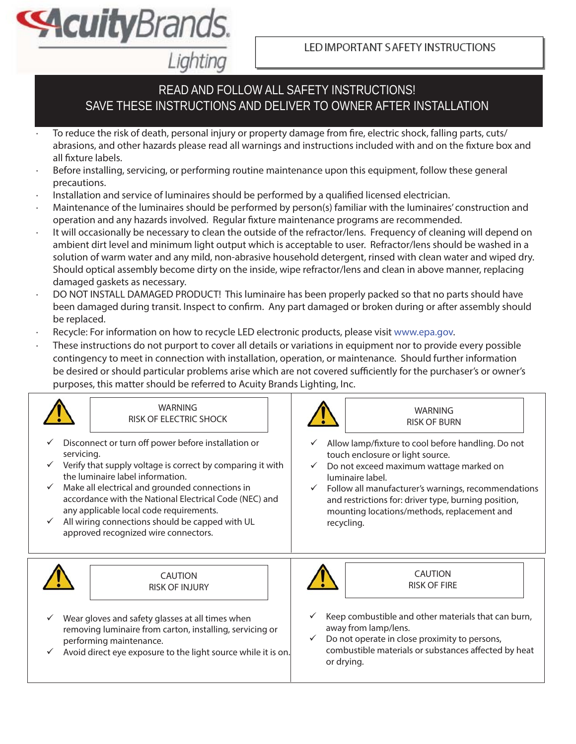LED IMPORTANT S AFETY INSTRUCTIONS

# READ AND FOLLOW ALL SAFETY INSTRUCTIONS! SAVE THESE INSTRUCTIONS AND DELIVER TO OWNER AFTER INSTALLATION

- To reduce the risk of death, personal injury or property damage from fire, electric shock, falling parts, cuts/ abrasions, and other hazards please read all warnings and instructions included with and on the fixture box and all fixture labels.
- Before installing, servicing, or performing routine maintenance upon this equipment, follow these general precautions.
- Installation and service of luminaires should be performed by a qualified licensed electrician.

Lighting

**Acuity**Brands.

- · Maintenance of the luminaires should be performed by person(s) familiar with the luminaires' construction and operation and any hazards involved. Regular fixture maintenance programs are recommended.
- It will occasionally be necessary to clean the outside of the refractor/lens. Frequency of cleaning will depend on ambient dirt level and minimum light output which is acceptable to user. Refractor/lens should be washed in a solution of warm water and any mild, non-abrasive household detergent, rinsed with clean water and wiped dry. Should optical assembly become dirty on the inside, wipe refractor/lens and clean in above manner, replacing damaged gaskets as necessary.
- DO NOT INSTALL DAMAGED PRODUCT! This luminaire has been properly packed so that no parts should have been damaged during transit. Inspect to confirm. Any part damaged or broken during or after assembly should be replaced.
- Recycle: For information on how to recycle LED electronic products, please visit www.epa.gov.
- These instructions do not purport to cover all details or variations in equipment nor to provide every possible contingency to meet in connection with installation, operation, or maintenance. Should further information be desired or should particular problems arise which are not covered sufficiently for the purchaser's or owner's purposes, this matter should be referred to Acuity Brands Lighting, Inc.

| <b>WARNING</b>                                                                                                                                                                                                                                                                                                                                                                                                                         | <b>WARNING</b>                                                                                                                                                                                                                                                                                                                                    |
|----------------------------------------------------------------------------------------------------------------------------------------------------------------------------------------------------------------------------------------------------------------------------------------------------------------------------------------------------------------------------------------------------------------------------------------|---------------------------------------------------------------------------------------------------------------------------------------------------------------------------------------------------------------------------------------------------------------------------------------------------------------------------------------------------|
| RISK OF ELECTRIC SHOCK                                                                                                                                                                                                                                                                                                                                                                                                                 | <b>RISK OF BURN</b>                                                                                                                                                                                                                                                                                                                               |
| Disconnect or turn off power before installation or<br>servicing.<br>Verify that supply voltage is correct by comparing it with<br>the luminaire label information.<br>Make all electrical and grounded connections in<br>$\checkmark$<br>accordance with the National Electrical Code (NEC) and<br>any applicable local code requirements.<br>All wiring connections should be capped with UL<br>approved recognized wire connectors. | Allow lamp/fixture to cool before handling. Do not<br>touch enclosure or light source.<br>Do not exceed maximum wattage marked on<br>$\checkmark$<br>luminaire label.<br>Follow all manufacturer's warnings, recommendations<br>and restrictions for: driver type, burning position,<br>mounting locations/methods, replacement and<br>recycling. |
| <b>CAUTION</b>                                                                                                                                                                                                                                                                                                                                                                                                                         | <b>CAUTION</b>                                                                                                                                                                                                                                                                                                                                    |
| <b>RISK OF INJURY</b>                                                                                                                                                                                                                                                                                                                                                                                                                  | <b>RISK OF FIRE</b>                                                                                                                                                                                                                                                                                                                               |
| Wear gloves and safety glasses at all times when<br>removing luminaire from carton, installing, servicing or<br>performing maintenance.<br>Avoid direct eye exposure to the light source while it is on.                                                                                                                                                                                                                               | Keep combustible and other materials that can burn,<br>away from lamp/lens.<br>Do not operate in close proximity to persons,<br>$\checkmark$<br>combustible materials or substances affected by heat<br>or drying.                                                                                                                                |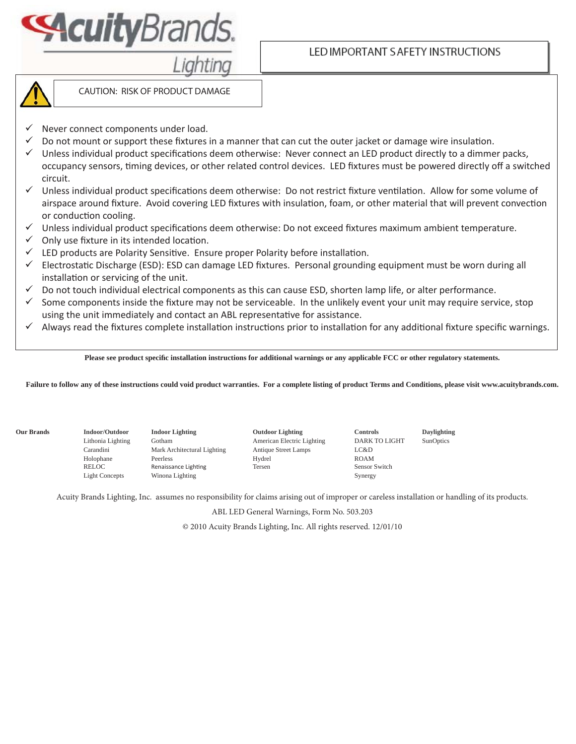

### LED IMPORTANT S AFETY INSTRUCTIONS



CAUTION: RISK OF PRODUCT DAMAGE

- Never connect components under load.
- $\checkmark$  Do not mount or support these fixtures in a manner that can cut the outer jacket or damage wire insulation.
- $\checkmark$  Unless individual product specifications deem otherwise: Never connect an LED product directly to a dimmer packs, occupancy sensors, timing devices, or other related control devices. LED fixtures must be powered directly off a switched circuit.
- $\checkmark$  Unless individual product specifications deem otherwise: Do not restrict fixture ventilation. Allow for some volume of airspace around fixture. Avoid covering LED fixtures with insulation, foam, or other material that will prevent convection or conduction cooling.
- $\checkmark$  Unless individual product specifications deem otherwise: Do not exceed fixtures maximum ambient temperature.
- $\checkmark$  Only use fixture in its intended location.
- $\checkmark$  LED products are Polarity Sensitive. Ensure proper Polarity before installation.
- $\checkmark$  Electrostatic Discharge (ESD): ESD can damage LED fixtures. Personal grounding equipment must be worn during all installation or servicing of the unit.
- $\checkmark$  Do not touch individual electrical components as this can cause ESD, shorten lamp life, or alter performance.
- $\checkmark$  Some components inside the fixture may not be serviceable. In the unlikely event your unit may require service, stop using the unit immediately and contact an ABL representative for assistance.
- $\checkmark$  Always read the fixtures complete installation instructions prior to installation for any additional fixture specific warnings.

Please see product specific installation instructions for additional warnings or any applicable FCC or other regulatory statements.

**Failure to follow any of these instructions could void product warranties. For a complete listing of product Terms and Conditions, please visit www.acuitybrands.com.**

**Our Brands Indoor/Outdoor Indoor Lighting Outdoor Lighting Controls Daylighting**  Lithonia Lighting Gotham American Electric Lighting DARK TO LIGHT SunOptics Carandini Mark Architectural Lighting Antique Street Lamps LC&D Holophane Peerless Hydrel Hydrel ROAM RELOC Renaissance Lighting Tersen Sensor Switch Sensor Switch Light Concepts Winona Lighting Synergy

Acuity Brands Lighting, Inc. assumes no responsibility for claims arising out of improper or careless installation or handling of its products.

ABL LED General Warnings, Form No. 503.203

© 2010 Acuity Brands Lighting, Inc. All rights reserved. 12/01/10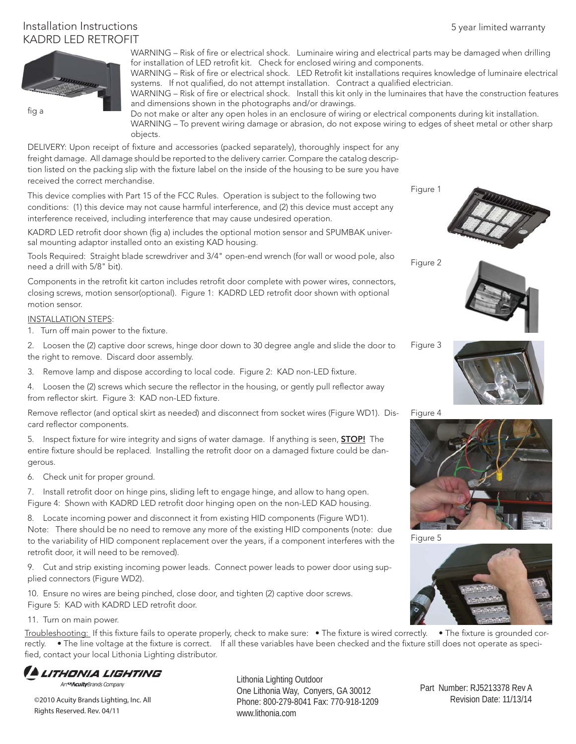# Installation Instructions KADRD LED RETROFIT



WARNING – Risk of fire or electrical shock. Luminaire wiring and electrical parts may be damaged when drilling for installation of LED retrofit kit. Check for enclosed wiring and components.

WARNING - Risk of fire or electrical shock. LED Retrofit kit installations requires knowledge of luminaire electrical systems. If not qualified, do not attempt installation. Contract a qualified electrician.

WARNING - Risk of fire or electrical shock. Install this kit only in the luminaires that have the construction features and dimensions shown in the photographs and/or drawings.

Do not make or alter any open holes in an enclosure of wiring or electrical components during kit installation. WARNING – To prevent wiring damage or abrasion, do not expose wiring to edges of sheet metal or other sharp objects.

DELIVERY: Upon receipt of fixture and accessories (packed separately), thoroughly inspect for any freight damage. All damage should be reported to the delivery carrier. Compare the catalog description listed on the packing slip with the fixture label on the inside of the housing to be sure you have received the correct merchandise.

This device complies with Part 15 of the FCC Rules. Operation is subject to the following two conditions: (1) this device may not cause harmful interference, and (2) this device must accept any interference received, including interference that may cause undesired operation.

KADRD LED retrofit door shown (fig a) includes the optional motion sensor and SPUMBAK universal mounting adaptor installed onto an existing KAD housing.

Tools Required: Straight blade screwdriver and 3/4" open-end wrench (for wall or wood pole, also need a drill with 5/8" bit).

Components in the retrofit kit carton includes retrofit door complete with power wires, connectors, closing screws, motion sensor(optional). Figure 1: KADRD LED retrofi t door shown with optional motion sensor.

#### INSTALLATION STEPS:

1. Turn off main power to the fixture.

Figure 3 2. Loosen the (2) captive door screws, hinge door down to 30 degree angle and slide the door to the right to remove. Discard door assembly.

3. Remove lamp and dispose according to local code. Figure 2: KAD non-LED fixture.

4. Loosen the (2) screws which secure the reflector in the housing, or gently pull reflector away from reflector skirt. Figure 3: KAD non-LED fixture.

Remove reflector (and optical skirt as needed) and disconnect from socket wires (Figure WD1). Discard reflector components.

5. Inspect fixture for wire integrity and signs of water damage. If anything is seen, **STOP!** The entire fixture should be replaced. Installing the retrofit door on a damaged fixture could be dangerous.

6. Check unit for proper ground.

7. Install retrofit door on hinge pins, sliding left to engage hinge, and allow to hang open. Figure 4: Shown with KADRD LED retrofit door hinging open on the non-LED KAD housing.

8. Locate incoming power and disconnect it from existing HID components (Figure WD1). Note: There should be no need to remove any more of the existing HID components (note: due to the variability of HID component replacement over the years, if a component interferes with the retrofit door, it will need to be removed).

9. Cut and strip existing incoming power leads. Connect power leads to power door using supplied connectors (Figure WD2).

10. Ensure no wires are being pinched, close door, and tighten (2) captive door screws. Figure 5: KAD with KADRD LED retrofit door.

11. Turn on main power.

Troubleshooting: If this fixture fails to operate properly, check to make sure: • The fixture is wired correctly. • The fixture is grounded correctly. • The line voltage at the fixture is correct. If all these variables have been checked and the fixture still does not operate as specified, contact your local Lithonia Lighting distributor.

ITHONIA LIGHTING

An<sup>es</sup>AcuityBrands Company

©2010 Acuity Brands Lighting, Inc. All Rights Reserved. Rev. 04/11

Lithonia Lighting Outdoor One Lithonia Way, Conyers, GA 30012 Phone: 800-279-8041 Fax: 770-918-1209 www.lithonia.com

Figure 2

Figure 1





Figure 4



Figure 5



 Part Number: RJ5213378 Rev A Revision Date: 11/13/14

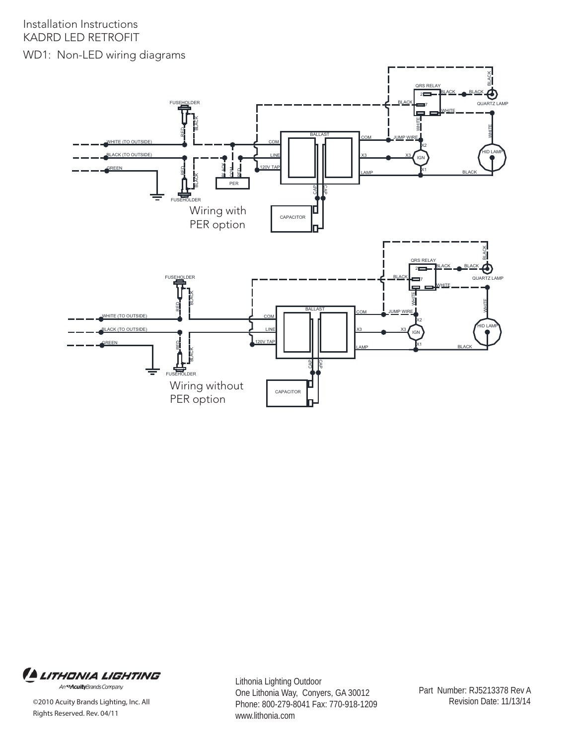



©2010 Acuity Brands Lighting, Inc. All Rights Reserved. Rev. 04/11

Lithonia Lighting Outdoor One Lithonia Way, Conyers, GA 30012 Phone: 800-279-8041 Fax: 770-918-1209 www.lithonia.com

 Part Number: RJ5213378 Rev A Revision Date: 11/13/14